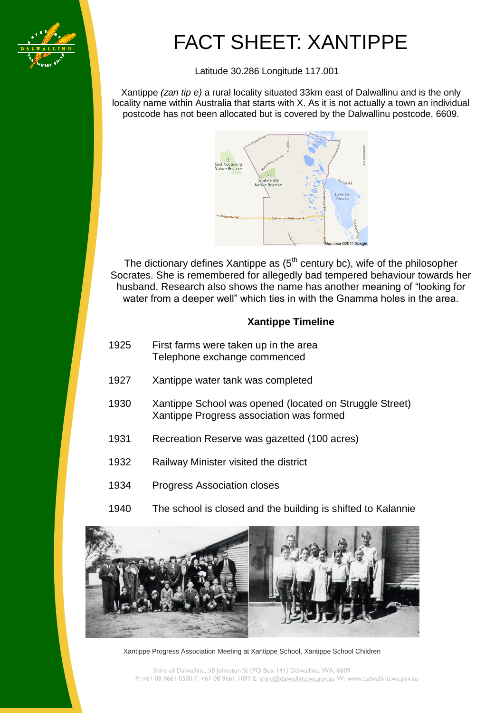

[Type text]

# FACT SHEET: XANTIPPE

Latitude 30.286 Longitude 117.001

Xantippe *(zan tip e)* a rural locality situated 33km east of Dalwallinu and is the only locality name within Australia that starts with X. As it is not actually a town an individual postcode has not been allocated but is covered by the Dalwallinu postcode, 6609.



The dictionary defines Xantippe as  $(5<sup>th</sup>$  century bc), wife of the philosopher Socrates. She is remembered for allegedly bad tempered behaviour towards her husband. Research also shows the name has another meaning of "looking for water from a deeper well" which ties in with the Gnamma holes in the area.

## **Xantippe Timeline**

- 1925 First farms were taken up in the area Telephone exchange commenced
- 1927 Xantippe water tank was completed
- 1930 Xantippe School was opened (located on Struggle Street) Xantippe Progress association was formed
- 1931 Recreation Reserve was gazetted (100 acres)
- 1932 Railway Minister visited the district
- 1934 Progress Association closes
- 1940 The school is closed and the building is shifted to Kalannie



Xantippe Progress Association Meeting at Xantippe School, Xantippe School Children